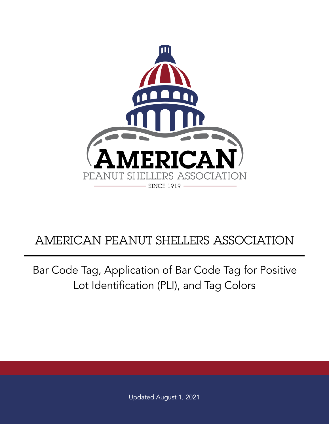

## AMERICAN PEANUT SHELLERS ASSOCIATION

Bar Code Tag, Application of Bar Code Tag for Positive Lot Identification (PLI), and Tag Colors

Updated August 1, 2021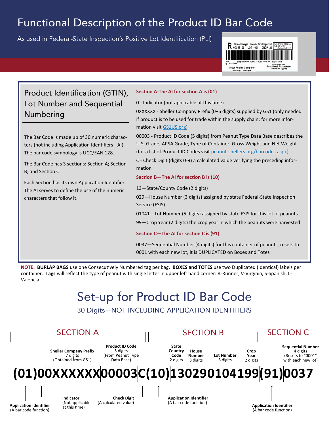### Functional Description of the Product ID Bar Code

As used in Federal-State Inspection's Positive Lot Identification (PLI)



### Product Identification (GTIN), Lot Number and Sequential Numbering

The Bar Code is made up of 30 numeric characters (not including Application Identifiers - AI). The bar code symbology is UCC/EAN 128.

The Bar Code has 3 sections: Section A; Section B; and Section C.

Each Section has its own Application Identifier. The AI serves to define the use of the numeric characters that follow it.

#### **Section A-The AI for section A is (01)**

0 - Indicator (not applicable at this time)

0XXXXXX - Sheller Company Prefix (0+6 digits) supplied by GS1 (only needed if product is to be used for trade within the supply chain; for more information visit GS1US.org)

00003 - Product ID Code (5 digits) from Peanut Type Data Base describes the U.S. Grade, APSA Grade, Type of Container, Gross Weight and Net Weight (for a list of Product ID Codes visit peanut-shellers.org/barcodes.aspx)

C - Check Digit (digits 0-9) a calculated value verifying the preceding information

#### **Section B—The AI for section B is (10)**

13—State/County Code (2 digits)

029—House Number (3 digits) assigned by state Federal-State Inspection Service (FSIS)

01041—Lot Number (5 digits) assigned by state FSIS for this lot of peanuts

99—Crop Year (2 digits) the crop year in which the peanuts were harvested

#### **Section C—The AI for section C is (91)**

0037—Sequential Number (4 digits) for this container of peanuts, resets to 0001 with each new lot, it is DUPLICATED on Boxes and Totes

**NOTE: BURLAP BAGS** use one Consecutively Numbered tag per bag. **BOXES and TOTES** use two Duplicated (Identical) labels per container. **Tags** will reflect the type of peanut with single letter in upper left hand corner: R-Runner, V-Virginia, S-Spanish, L-Valencia

# Set-up for Product ID Bar Code

#### 30 Digits-NOT INCLUDING APPLICATION IDENTIFIERS

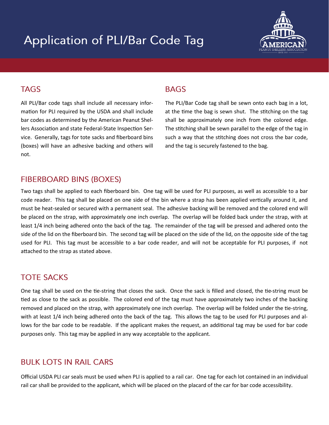# **Application of PLI/Bar Code Tag**



### **TAGS**

All PLI/Bar code tags shall include all necessary information for PLI required by the USDA and shall include bar codes as determined by the American Peanut Shellers Association and state Federal-State Inspection Service. Generally, tags for tote sacks and fiberboard bins (boxes) will have an adhesive backing and others will not.

### **BAGS**

The PLI/Bar Code tag shall be sewn onto each bag in a lot, at the time the bag is sewn shut. The stitching on the tag shall be approximately one inch from the colored edge. The stitching shall be sewn parallel to the edge of the tag in such a way that the stitching does not cross the bar code, and the tag is securely fastened to the bag.

### **FIBERBOARD BINS (BOXES)**

Two tags shall be applied to each fiberboard bin. One tag will be used for PLI purposes, as well as accessible to a bar code reader. This tag shall be placed on one side of the bin where a strap has been applied vertically around it, and must be heat-sealed or secured with a permanent seal. The adhesive backing will be removed and the colored end will be placed on the strap, with approximately one inch overlap. The overlap will be folded back under the strap, with at least 1/4 inch being adhered onto the back of the tag. The remainder of the tag will be pressed and adhered onto the side of the lid on the fiberboard bin. The second tag will be placed on the side of the lid, on the opposite side of the tag used for PLI. This tag must be accessible to a bar code reader, and will not be acceptable for PLI purposes, if not attached to the strap as stated above.

### **TOTE SACKS**

One tag shall be used on the tie-string that closes the sack. Once the sack is filled and closed, the tie-string must be tied as close to the sack as possible. The colored end of the tag must have approximately two inches of the backing removed and placed on the strap, with approximately one inch overlap. The overlap will be folded under the tie-string, with at least 1/4 inch being adhered onto the back of the tag. This allows the tag to be used for PLI purposes and allows for the bar code to be readable. If the applicant makes the request, an additional tag may be used for bar code purposes only. This tag may be applied in any way acceptable to the applicant.

### **BULK LOTS IN RAIL CARS**

Official USDA PLI car seals must be used when PLI is applied to a rail car. One tag for each lot contained in an individual rail car shall be provided to the applicant, which will be placed on the placard of the car for bar code accessibility.